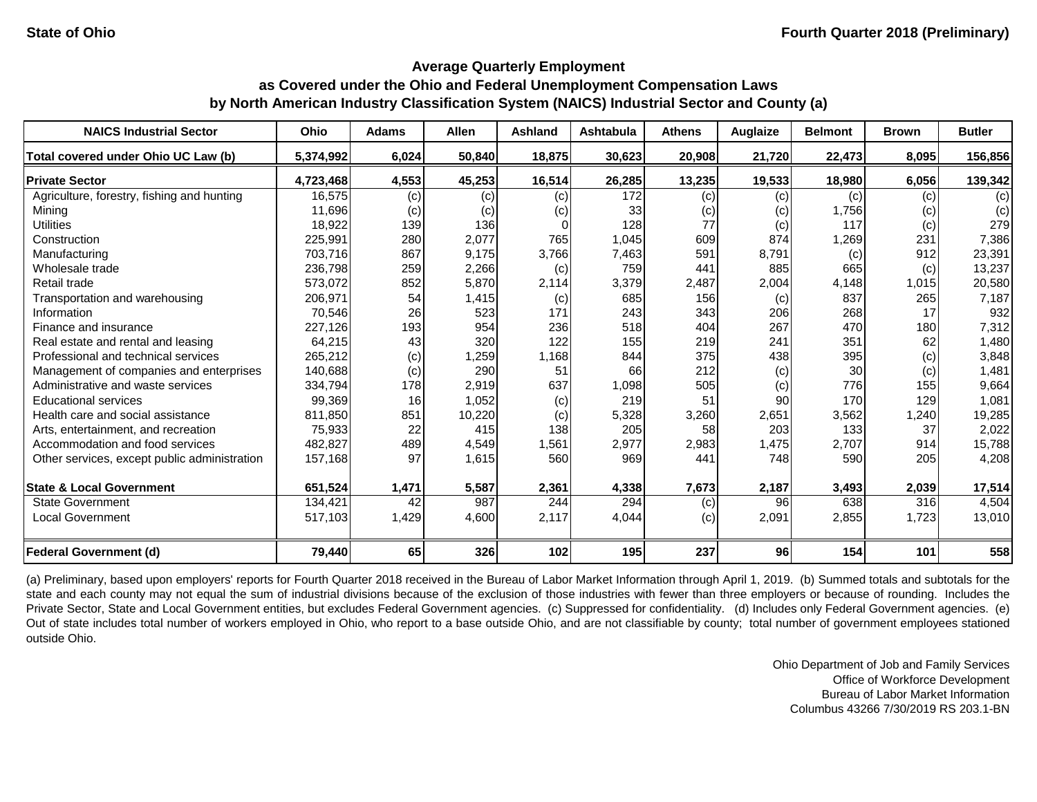#### **Average Quarterly Employment**

## **as Covered under the Ohio and Federal Unemployment Compensation Laws by North American Industry Classification System (NAICS) Industrial Sector and County (a)**

| <b>NAICS Industrial Sector</b>               | Ohio      | <b>Adams</b> | <b>Allen</b> | <b>Ashland</b> | Ashtabula | <b>Athens</b> | <b>Auglaize</b> | <b>Belmont</b> | <b>Brown</b> | <b>Butler</b> |
|----------------------------------------------|-----------|--------------|--------------|----------------|-----------|---------------|-----------------|----------------|--------------|---------------|
| Total covered under Ohio UC Law (b)          | 5,374,992 | 6,024        | 50,840       | 18,875         | 30,623    | 20,908        | 21,720          | 22,473         | 8,095        | 156,856       |
| <b>Private Sector</b>                        | 4,723,468 | 4,553        | 45,253       | 16,514         | 26,285    | 13,235        | 19,533          | 18,980         | 6,056        | 139,342       |
| Agriculture, forestry, fishing and hunting   | 16,575    | (c)          | (c)          | (c)            | 172       | (c)           | (c)             | (c)            | (c)          | (c)           |
| Mining                                       | 11,696    | (c)          | (c)          | (c)            | 33        | (c)           | (c)             | 1,756          | (c)          | (c)           |
| <b>Utilities</b>                             | 18,922    | 139          | 136          |                | 128       | 77            | (c)             | 117            | (c)          | 279           |
| Construction                                 | 225,991   | 280          | 2,077        | 765            | 1,045     | 609           | 874             | 1,269          | 231          | 7,386         |
| Manufacturing                                | 703,716   | 867          | 9,175        | 3,766          | 7,463     | 591           | 8,791           | (c)            | 912          | 23,391        |
| Wholesale trade                              | 236,798   | 259          | 2,266        | (c)            | 759       | 441           | 885             | 665            | (c)          | 13,237        |
| Retail trade                                 | 573,072   | 852          | 5,870        | 2,114          | 3,379     | 2,487         | 2,004           | 4,148          | 1,015        | 20,580        |
| Transportation and warehousing               | 206,971   | 54           | 1,415        | (c)            | 685       | 156           | (c)             | 837            | 265          | 7,187         |
| Information                                  | 70,546    | 26           | 523          | 171            | 243       | 343           | 206             | 268            | 17           | 932           |
| Finance and insurance                        | 227,126   | 193          | 954          | 236            | 518       | 404           | 267             | 470            | 180          | 7,312         |
| Real estate and rental and leasing           | 64,215    | 43           | 320          | 122            | 155       | 219           | 241             | 351            | 62           | 1,480         |
| Professional and technical services          | 265,212   | (c)          | 1,259        | 1,168          | 844       | 375           | 438             | 395            | (c)          | 3,848         |
| Management of companies and enterprises      | 140,688   | (c)          | 290          | 51             | 66        | 212           | (c)             | 30             | (c)          | 1,481         |
| Administrative and waste services            | 334,794   | 178          | 2,919        | 637            | 1,098     | 505           | (c)             | 776            | 155          | 9,664         |
| <b>Educational services</b>                  | 99,369    | <b>16</b>    | 1,052        | (c)            | 219       | 51            | 90              | 170            | 129          | 1,081         |
| Health care and social assistance            | 811,850   | 851          | 10,220       | (c)            | 5,328     | 3,260         | 2,651           | 3,562          | 1,240        | 19,285        |
| Arts, entertainment, and recreation          | 75,933    | 22           | 415          | 138            | 205       | 58            | 203             | 133            | 37           | 2,022         |
| Accommodation and food services              | 482,827   | 489          | 4,549        | 1,561          | 2,977     | 2,983         | 1,475           | 2,707          | 914          | 15,788        |
| Other services, except public administration | 157,168   | 97           | 1,615        | 560            | 969       | 441           | 748             | 590            | 205          | 4,208         |
| <b>State &amp; Local Government</b>          | 651,524   | 1,471        | 5,587        | 2,361          | 4,338     | 7,673         | 2,187           | 3,493          | 2,039        | 17,514        |
| <b>State Government</b>                      | 134,421   | 42           | 987          | 244            | 294       | (c)           | 96              | 638            | 316          | 4,504         |
| <b>Local Government</b>                      | 517,103   | 1,429        | 4,600        | 2,117          | 4,044     | (c)           | 2,091           | 2,855          | 1,723        | 13,010        |
| <b>Federal Government (d)</b>                | 79,440    | 65           | 326          | 102            | 195       | 237           | 96              | 154            | 101          | 558           |

(a) Preliminary, based upon employers' reports for Fourth Quarter 2018 received in the Bureau of Labor Market Information through April 1, 2019. (b) Summed totals and subtotals for the state and each county may not equal the sum of industrial divisions because of the exclusion of those industries with fewer than three employers or because of rounding. Includes the Private Sector, State and Local Government entities, but excludes Federal Government agencies. (c) Suppressed for confidentiality. (d) Includes only Federal Government agencies. (e) Out of state includes total number of workers employed in Ohio, who report to a base outside Ohio, and are not classifiable by county; total number of government employees stationed outside Ohio.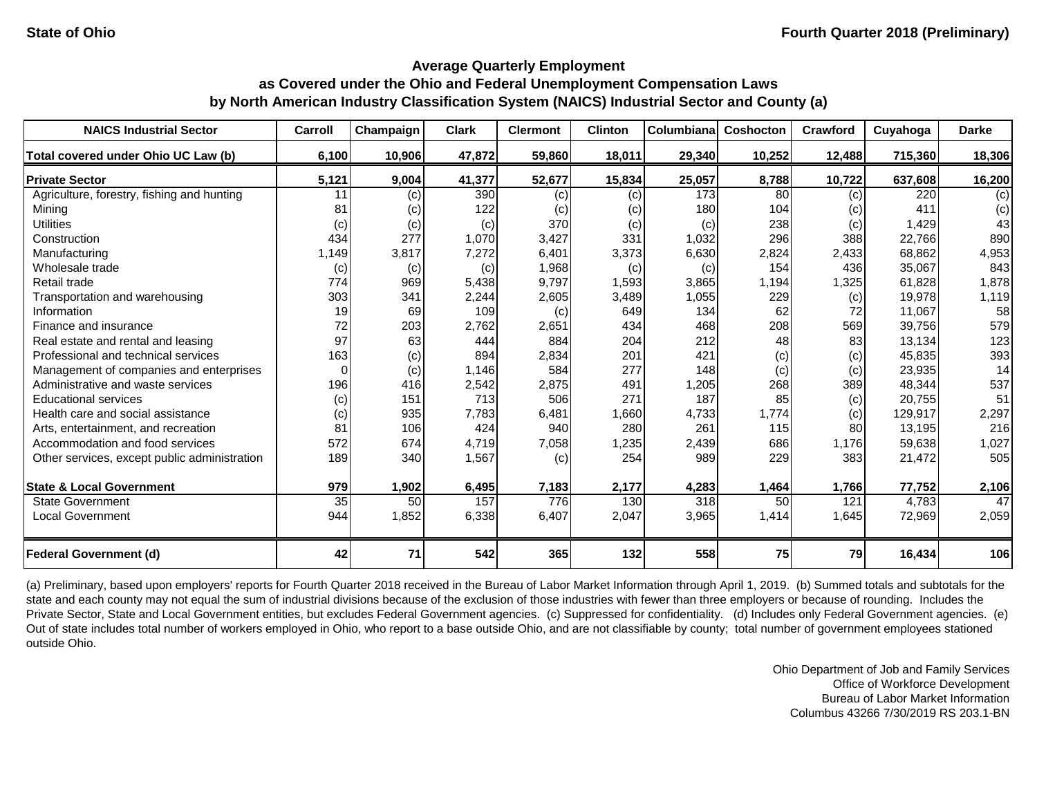| <b>NAICS Industrial Sector</b>               | Carroll         | Champaign | <b>Clark</b> | <b>Clermont</b>   | <b>Clinton</b> | Columbiana       | Coshocton | Crawford | Cuyahoga | <b>Darke</b> |
|----------------------------------------------|-----------------|-----------|--------------|-------------------|----------------|------------------|-----------|----------|----------|--------------|
| Total covered under Ohio UC Law (b)          | 6,100           | 10,906    | 47,872       | 59,860            | 18,011         | 29,340           | 10,252    | 12,488   | 715,360  | 18,306       |
| <b>Private Sector</b>                        | 5,121           | 9,004     | 41,377       | 52,677            | 15,834         | 25,057           | 8,788     | 10,722   | 637,608  | 16,200       |
| Agriculture, forestry, fishing and hunting   | 11              | (c)       | 390          | $\left( c\right)$ | (c)            | 173              | 80        | (c)      | 220      | (c)          |
| Mining                                       | 81              | (c)       | 122          | $\left( c\right)$ | (c)            | 180              | 104       | (c)      | 411      | (c)          |
| <b>Utilities</b>                             | (c)             | (c)       | (c)          | 370               | (c)            | (c)              | 238       | (c)      | 1,429    | 43           |
| Construction                                 | 434             | 277       | 1,070        | 3,427             | 331            | 1,032            | 296       | 388      | 22,766   | 890          |
| Manufacturing                                | 1,149           | 3,817     | 7,272        | 6,401             | 3,373          | 6,630            | 2,824     | 2,433    | 68,862   | 4,953        |
| Wholesale trade                              | (c)             | (c)       | (c)          | 1,968             | (c)            | (c)              | 154       | 436      | 35,067   | 843          |
| Retail trade                                 | 774             | 969       | 5,438        | 9,797             | 1,593          | 3,865            | 1,194     | 1,325    | 61,828   | 1,878        |
| Transportation and warehousing               | 303             | 341       | 2,244        | 2,605             | 3,489          | 1,055            | 229       | (c)      | 19,978   | 1,119        |
| Information                                  | 19              | 69        | 109          | (c)               | 649            | 134              | 62        | 72       | 11,067   | 58           |
| Finance and insurance                        | 72              | 203       | 2,762        | 2,651             | 434            | 468              | 208       | 569      | 39,756   | 579          |
| Real estate and rental and leasing           | 97              | 63        | 444          | 884               | 204            | 212              | 48        | 83       | 13,134   | 123          |
| Professional and technical services          | 163             | (c)       | 894          | 2,834             | 201            | 421              | (c)       | (c)      | 45,835   | 393          |
| Management of companies and enterprises      | $\Omega$        | (c)       | 1,146        | 584               | 277            | 148              | (c)       | (c)      | 23,935   | 14           |
| Administrative and waste services            | 196             | 416       | 2,542        | 2,875             | 491            | 1,205            | 268       | 389      | 48,344   | 537          |
| <b>Educational services</b>                  | (c)             | 151       | 713          | 506               | 271            | 187              | 85        | (c)      | 20,755   | 51           |
| Health care and social assistance            | (c)             | 935       | 7,783        | 6,481             | 1,660          | 4,733            | 1,774     | (c)      | 129,917  | 2,297        |
| Arts, entertainment, and recreation          | 81              | 106       | 424          | 940               | 280            | 261              | 115       | 80       | 13,195   | 216          |
| Accommodation and food services              | 572             | 674       | 4,719        | 7,058             | 1,235          | 2,439            | 686       | 1,176    | 59,638   | 1,027        |
| Other services, except public administration | 189             | 340       | 1,567        | (c)               | 254            | 989              | 229       | 383      | 21,472   | 505          |
| <b>State &amp; Local Government</b>          | 979             | 1,902     | 6,495        | 7,183             | 2,177          | 4,283            | 1,464     | 1,766    | 77,752   | 2,106        |
| <b>State Government</b>                      | $\overline{35}$ | 50        | 157          | 776               | 130            | $\overline{318}$ | 50        | 121      | 4,783    | 47           |
| <b>Local Government</b>                      | 944             | 1,852     | 6,338        | 6,407             | 2,047          | 3,965            | 1,414     | 1,645    | 72,969   | 2,059        |
| <b>Federal Government (d)</b>                | 42              | 71        | 542          | 365               | 132            | 558              | 75        | 79       | 16,434   | 106          |

(a) Preliminary, based upon employers' reports for Fourth Quarter 2018 received in the Bureau of Labor Market Information through April 1, 2019. (b) Summed totals and subtotals for the state and each county may not equal the sum of industrial divisions because of the exclusion of those industries with fewer than three employers or because of rounding. Includes the Private Sector, State and Local Government entities, but excludes Federal Government agencies. (c) Suppressed for confidentiality. (d) Includes only Federal Government agencies. (e) Out of state includes total number of workers employed in Ohio, who report to a base outside Ohio, and are not classifiable by county; total number of government employees stationed outside Ohio.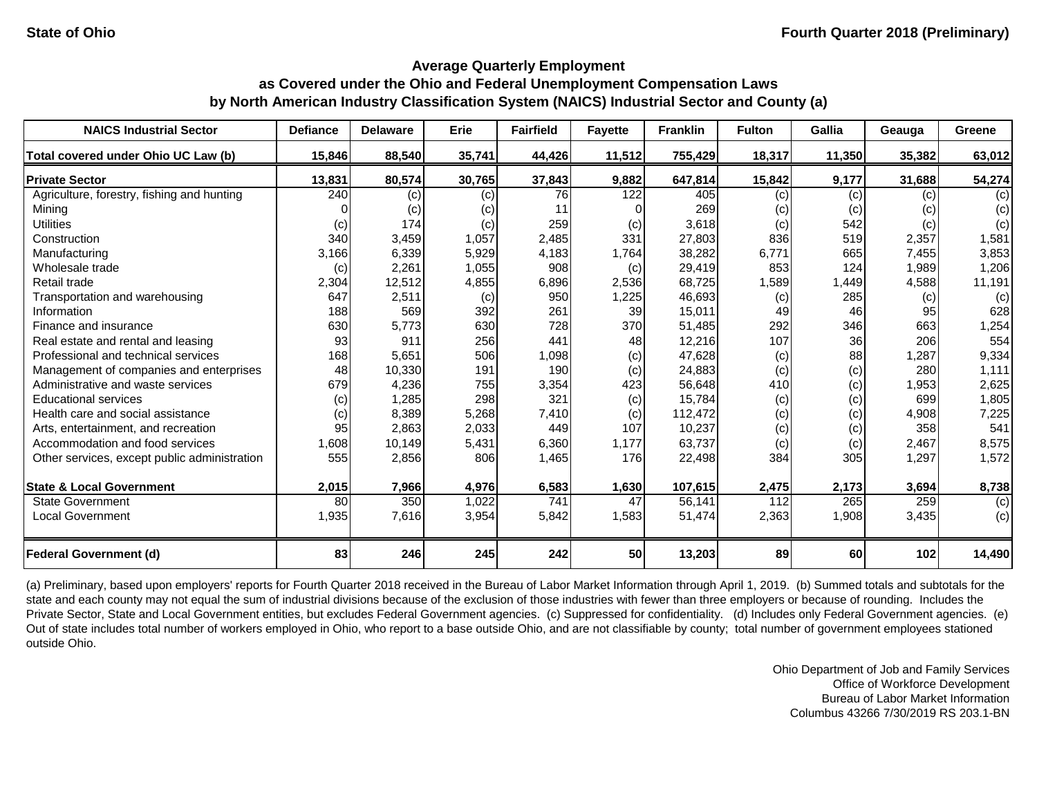| <b>NAICS Industrial Sector</b>               | <b>Defiance</b> | <b>Delaware</b> | Erie   | <b>Fairfield</b> | <b>Fayette</b> | <b>Franklin</b> | <b>Fulton</b> | <b>Gallia</b> | Geauga | <b>Greene</b> |
|----------------------------------------------|-----------------|-----------------|--------|------------------|----------------|-----------------|---------------|---------------|--------|---------------|
| Total covered under Ohio UC Law (b)          | 15,846          | 88,540          | 35,741 | 44,426           | 11,512         | 755,429         | 18,317        | 11,350        | 35,382 | 63,012        |
| <b>Private Sector</b>                        | 13,831          | 80,574          | 30,765 | 37,843           | 9,882          | 647,814         | 15,842        | 9,177         | 31,688 | 54,274        |
| Agriculture, forestry, fishing and hunting   | 240             | (c)             | (c)    | 76               | 122            | 405             | (c)           | (c)           | (c)    | (c)           |
| Mining                                       |                 | (c)             | (c)    | 11               |                | 269             | (c)           | (c)           | (c)    | (c)           |
| <b>Utilities</b>                             | (c)             | 174             | (c)    | 259              | (c)            | 3,618           | (c)           | 542           | (c)    | (c)           |
| Construction                                 | 340             | 3,459           | 1,057  | 2,485            | 331            | 27,803          | 836           | 519           | 2,357  | 1,581         |
| Manufacturing                                | 3,166           | 6,339           | 5,929  | 4,183            | 1,764          | 38,282          | 6,771         | 665           | 7,455  | 3,853         |
| Wholesale trade                              | (c)             | 2,261           | 1,055  | 908              | (c)            | 29,419          | 853           | 124           | 1,989  | 1,206         |
| Retail trade                                 | 2,304           | 12,512          | 4,855  | 6,896            | 2,536          | 68,725          | 1,589         | 1,449         | 4,588  | 11,191        |
| Transportation and warehousing               | 647             | 2,511           | (c)    | 950              | 1,225          | 46,693          | (c)           | 285           | (c)    | (c)           |
| Information                                  | 188             | 569             | 392    | 261              | 39             | 15,011          | 49            | 46            | 95     | 628           |
| Finance and insurance                        | 630             | 5,773           | 630    | 728              | 370            | 51,485          | 292           | 346           | 663    | 1,254         |
| Real estate and rental and leasing           | 93              | 911             | 256    | 441              | 48             | 12,216          | 107           | 36            | 206    | 554           |
| Professional and technical services          | 168             | 5,651           | 506    | 1,098            | (c)            | 47,628          | (c)           | 88            | 1,287  | 9,334         |
| Management of companies and enterprises      | 48              | 10,330          | 191    | 190              | (c)            | 24,883          | (c)           | (c)           | 280    | 1,111         |
| Administrative and waste services            | 679             | 4,236           | 755    | 3,354            | 423            | 56,648          | 410           | (c)           | 1,953  | 2,625         |
| <b>Educational services</b>                  | (c)             | 1,285           | 298    | 321              | (c)            | 15,784          | (c)           | (c)           | 699    | 1,805         |
| Health care and social assistance            | (c)             | 8,389           | 5,268  | 7,410            | (c)            | 112,472         | (c)           | (c)           | 4,908  | 7,225         |
| Arts, entertainment, and recreation          | 95              | 2,863           | 2,033  | 449              | 107            | 10,237          | (c)           | (c)           | 358    | 541           |
| Accommodation and food services              | 1,608           | 10,149          | 5,431  | 6,360            | 1,177          | 63,737          | (c)           | (c)           | 2,467  | 8,575         |
| Other services, except public administration | 555             | 2,856           | 806    | 1,465            | 176            | 22,498          | 384           | 305           | 1,297  | 1,572         |
| <b>State &amp; Local Government</b>          | 2,015           | 7,966           | 4,976  | 6,583            | 1,630          | 107,615         | 2,475         | 2,173         | 3,694  | 8,738         |
| <b>State Government</b>                      | 80              | 350             | 1,022  | 741              | 47             | 56,141          | 112           | 265           | 259    | (c)           |
| <b>Local Government</b>                      | 1,935           | 7,616           | 3,954  | 5,842            | 1,583          | 51,474          | 2,363         | 1,908         | 3,435  | (c)           |
| <b>Federal Government (d)</b>                | 83              | 246             | 245    | 242              | 50             | 13,203          | 89            | <b>60</b>     | 102    | 14,490        |

(a) Preliminary, based upon employers' reports for Fourth Quarter 2018 received in the Bureau of Labor Market Information through April 1, 2019. (b) Summed totals and subtotals for the state and each county may not equal the sum of industrial divisions because of the exclusion of those industries with fewer than three employers or because of rounding. Includes the Private Sector, State and Local Government entities, but excludes Federal Government agencies. (c) Suppressed for confidentiality. (d) Includes only Federal Government agencies. (e) Out of state includes total number of workers employed in Ohio, who report to a base outside Ohio, and are not classifiable by county; total number of government employees stationed outside Ohio.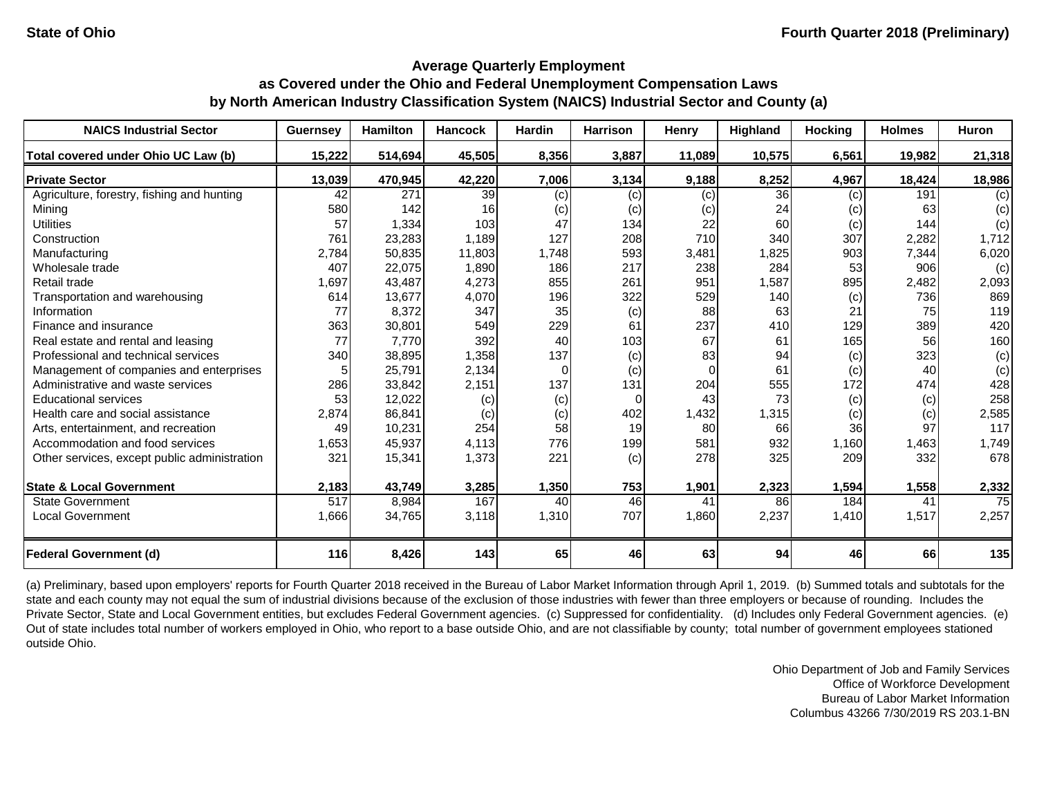| <b>NAICS Industrial Sector</b>               | <b>Guernsey</b> | <b>Hamilton</b> | <b>Hancock</b> | Hardin | <b>Harrison</b> | <b>Henry</b> | Highland | <b>Hocking</b> | <b>Holmes</b> | Huron  |
|----------------------------------------------|-----------------|-----------------|----------------|--------|-----------------|--------------|----------|----------------|---------------|--------|
| Total covered under Ohio UC Law (b)          | 15,222          | 514,694         | 45,505         | 8,356  | 3,887           | 11,089       | 10,575   | 6,561          | 19,982        | 21,318 |
| <b>Private Sector</b>                        | 13,039          | 470,945         | 42,220         | 7,006  | 3,134           | 9,188        | 8,252    | 4,967          | 18,424        | 18,986 |
| Agriculture, forestry, fishing and hunting   | 42              | 271             | 39             | (c)    | (c)             | (c)          | 36       | (c)            | 191           | (c)    |
| Mining                                       | 580             | 142             | 16             | (c)    | (c)             | (c)          | 24       | (c)            | 63            | (c)    |
| <b>Utilities</b>                             | 57              | 1,334           | 103            | 47     | 134             | 22           | 60       | (c)            | 144           | (c)    |
| Construction                                 | 761             | 23,283          | 1,189          | 127    | 208             | 710          | 340      | 307            | 2,282         | 1,712  |
| Manufacturing                                | 2,784           | 50,835          | 11,803         | 1,748  | 593             | 3,481        | 1,825    | 903            | 7,344         | 6,020  |
| Wholesale trade                              | 407             | 22,075          | 1,890          | 186    | 217             | 238          | 284      | 53             | 906           | (c)    |
| Retail trade                                 | 1,697           | 43,487          | 4,273          | 855    | 261             | 951          | 1,587    | 895            | 2,482         | 2,093  |
| Transportation and warehousing               | 614             | 13,677          | 4,070          | 196    | 322             | 529          | 140      | (c)            | 736           | 869    |
| Information                                  | 77              | 8,372           | 347            | 35     | (c)             | 88           | 63       | 21             | 75            | 119    |
| Finance and insurance                        | 363             | 30,801          | 549            | 229    | 61              | 237          | 410      | 129            | 389           | 420    |
| Real estate and rental and leasing           | 77              | 7,770           | 392            | 40     | 103             | 67           | 61       | 165            | 56            | 160    |
| Professional and technical services          | 340             | 38,895          | 1,358          | 137    | (c)             | 83           | 94       | (c)            | 323           | (c)    |
| Management of companies and enterprises      |                 | 25,791          | 2,134          | 0      | (c)             | $\Omega$     | 61       | (c)            | 40            | (c)    |
| Administrative and waste services            | 286             | 33,842          | 2,151          | 137    | 131             | 204          | 555      | 172            | 474           | 428    |
| <b>Educational services</b>                  | 53              | 12,022          | (c)            | (c)    | $\Omega$        | 43           | 73       | (c)            | (c)           | 258    |
| Health care and social assistance            | 2,874           | 86,841          | (c)            | (c)    | 402             | 1,432        | 1,315    | (c)            | (c)           | 2,585  |
| Arts, entertainment, and recreation          | 49              | 10,231          | 254            | 58     | 19              | 80           | 66       | 36             | 97            | 117    |
| Accommodation and food services              | 1,653           | 45,937          | 4,113          | 776    | 199             | 581          | 932      | 1,160          | 1,463         | 1,749  |
| Other services, except public administration | 321             | 15,341          | 1,373          | 221    | (c)             | 278          | 325      | 209            | 332           | 678    |
| <b>State &amp; Local Government</b>          | 2,183           | 43,749          | 3,285          | 1,350  | 753             | 1,901        | 2,323    | 1,594          | 1,558         | 2,332  |
| <b>State Government</b>                      | 517             | 8,984           | 167            | 40     | 46              | 41           | 86       | 184            | 41            | 75     |
| <b>Local Government</b>                      | 1,666           | 34,765          | 3,118          | 1,310  | 707             | 1,860        | 2,237    | 1,410          | 1,517         | 2,257  |
| <b>Federal Government (d)</b>                | <b>116</b>      | 8,426           | 143            | 65     | 46              | 63           | 94       | 46             | 66            | 135    |

(a) Preliminary, based upon employers' reports for Fourth Quarter 2018 received in the Bureau of Labor Market Information through April 1, 2019. (b) Summed totals and subtotals for the state and each county may not equal the sum of industrial divisions because of the exclusion of those industries with fewer than three employers or because of rounding. Includes the Private Sector, State and Local Government entities, but excludes Federal Government agencies. (c) Suppressed for confidentiality. (d) Includes only Federal Government agencies. (e) Out of state includes total number of workers employed in Ohio, who report to a base outside Ohio, and are not classifiable by county; total number of government employees stationed outside Ohio.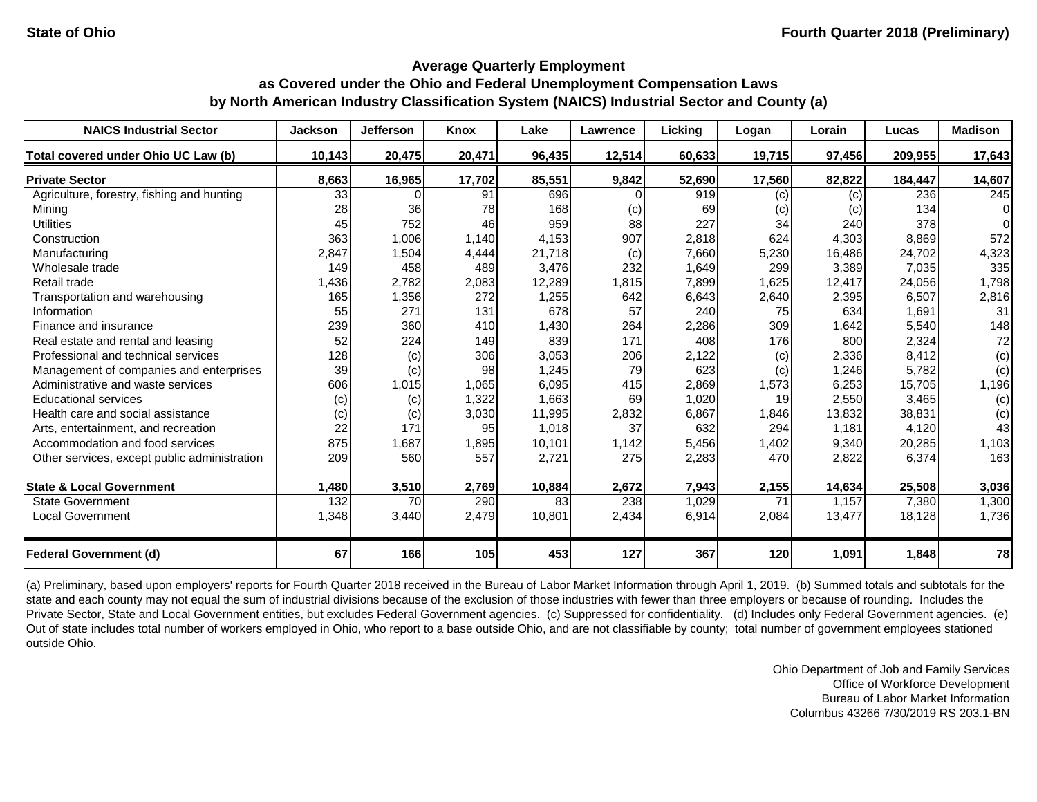### **Average Quarterly Employment as Covered under the Ohio and Federal Unemployment Compensation Laws**

# **by North American Industry Classification System (NAICS) Industrial Sector and County (a)**

| <b>NAICS Industrial Sector</b>               | <b>Jackson</b> | <b>Jefferson</b> | <b>Knox</b> | Lake   | <b>Lawrence</b> | Licking | Logan  | Lorain | Lucas   | <b>Madison</b>   |
|----------------------------------------------|----------------|------------------|-------------|--------|-----------------|---------|--------|--------|---------|------------------|
| Total covered under Ohio UC Law (b)          | 10,143         | 20,475           | 20,471      | 96,435 | 12,514          | 60,633  | 19,715 | 97,456 | 209,955 | 17,643           |
| <b>Private Sector</b>                        | 8,663          | 16,965           | 17,702      | 85,551 | 9,842           | 52,690  | 17,560 | 82,822 | 184,447 | 14,607           |
| Agriculture, forestry, fishing and hunting   | 33             |                  | 91          | 696    |                 | 919     | (c)    | (c)    | 236     | $\overline{245}$ |
| Mining                                       | 28             | 36               | 78          | 168    | (c)             | 69      | (c)    | (c)    | 134     | $\Omega$         |
| <b>Utilities</b>                             | 45             | 752              | 46          | 959    | 88              | 227     | 34     | 240    | 378     | $\Omega$         |
| Construction                                 | 363            | 1,006            | 1,140       | 4,153  | 907             | 2,818   | 624    | 4,303  | 8,869   | 572              |
| Manufacturing                                | 2,847          | 1,504            | 4,444       | 21,718 | (c)             | 7,660   | 5,230  | 16,486 | 24,702  | 4,323            |
| Wholesale trade                              | 149            | 458              | 489         | 3,476  | 232             | 1,649   | 299    | 3,389  | 7,035   | 335              |
| Retail trade                                 | 1,436          | 2,782            | 2,083       | 12,289 | 1,815           | 7,899   | 1,625  | 12,417 | 24,056  | 1,798            |
| Transportation and warehousing               | 165            | 1,356            | 272         | 1,255  | 642             | 6,643   | 2,640  | 2,395  | 6,507   | 2,816            |
| Information                                  | 55             | 271              | 131         | 678    | 57              | 240     | 75     | 634    | 1,691   | 31               |
| Finance and insurance                        | 239            | 360              | 410         | 1,430  | 264             | 2,286   | 309    | 1,642  | 5,540   | 148              |
| Real estate and rental and leasing           | 52             | 224              | 149         | 839    | 171             | 408     | 176    | 800    | 2,324   | 72               |
| Professional and technical services          | 128            | (c)              | 306         | 3,053  | 206             | 2,122   | (c)    | 2,336  | 8,412   | (c)              |
| Management of companies and enterprises      | 39             | (c)              | 98          | 1,245  | 79              | 623     | (c)    | 1,246  | 5,782   | (c)              |
| Administrative and waste services            | 606            | 1,015            | 1,065       | 6,095  | 415             | 2,869   | 1,573  | 6,253  | 15,705  | 1,196            |
| <b>Educational services</b>                  | (c)            | (c)              | 1,322       | 1,663  | 69              | 1,020   | 19     | 2,550  | 3,465   | (c)              |
| Health care and social assistance            | (c)            | (c)              | 3,030       | 11,995 | 2,832           | 6,867   | 1,846  | 13,832 | 38,831  | (c)              |
| Arts, entertainment, and recreation          | 22             | 171              | 95          | 1,018  | 37              | 632     | 294    | 1,181  | 4,120   | 43               |
| Accommodation and food services              | 875            | 1,687            | 1,895       | 10,101 | 1,142           | 5,456   | 1,402  | 9,340  | 20,285  | 1,103            |
| Other services, except public administration | 209            | 560              | 557         | 2,721  | 275             | 2,283   | 470    | 2,822  | 6,374   | 163              |
| <b>State &amp; Local Government</b>          | 1,480          | 3,510            | 2,769       | 10,884 | 2,672           | 7,943   | 2,155  | 14,634 | 25,508  | 3,036            |
| <b>State Government</b>                      | 132            | 70               | 290         | 83     | 238             | 1,029   | 71     | 1,157  | 7,380   | 1,300            |
| <b>Local Government</b>                      | 1,348          | 3,440            | 2,479       | 10,801 | 2,434           | 6,914   | 2,084  | 13,477 | 18,128  | 1,736            |
| <b>Federal Government (d)</b>                | 67             | 166              | 105         | 453    | 127             | 367     | 120    | 1,091  | 1,848   | 78               |

(a) Preliminary, based upon employers' reports for Fourth Quarter 2018 received in the Bureau of Labor Market Information through April 1, 2019. (b) Summed totals and subtotals for the state and each county may not equal the sum of industrial divisions because of the exclusion of those industries with fewer than three employers or because of rounding. Includes the Private Sector, State and Local Government entities, but excludes Federal Government agencies. (c) Suppressed for confidentiality. (d) Includes only Federal Government agencies. (e) Out of state includes total number of workers employed in Ohio, who report to a base outside Ohio, and are not classifiable by county; total number of government employees stationed outside Ohio.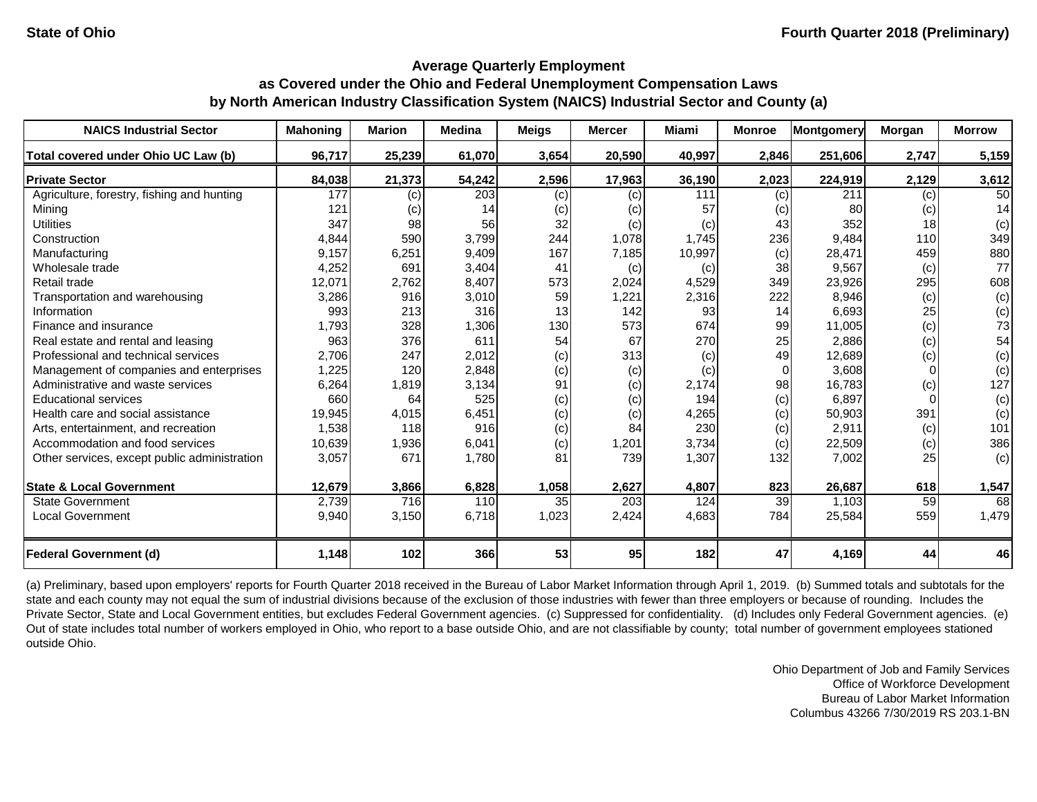| <b>NAICS Industrial Sector</b>               | <b>Mahoning</b> | <b>Marion</b> | <b>Medina</b> | <b>Meigs</b> | <b>Mercer</b> | <b>Miami</b> | <b>Monroe</b> | Montgomery | Morgan          | <b>Morrow</b> |
|----------------------------------------------|-----------------|---------------|---------------|--------------|---------------|--------------|---------------|------------|-----------------|---------------|
| Total covered under Ohio UC Law (b)          | 96,717          | 25,239        | 61,070        | 3,654        | 20,590        | 40,997       | 2,846         | 251,606    | 2,747           | 5,159         |
| <b>Private Sector</b>                        | 84,038          | 21,373        | 54,242        | 2,596        | 17,963        | 36,190       | 2,023         | 224,919    | 2,129           | 3,612         |
| Agriculture, forestry, fishing and hunting   | 177             | (c)           | 203           | (c)          | (c)           | 111          | (c)           | 211        | (c)             | 50            |
| Mining                                       | 121             | (c)           | 14            | (c)          | (c)           | 57           | (c)           | 80         | (c)             | 14            |
| <b>Utilities</b>                             | 347             | 98            | 56            | 32           | (c)           | (c)          | 43            | 352        | 18 <sup>l</sup> | (c)           |
| Construction                                 | 4,844           | 590           | 3,799         | 244          | 1,078         | 1,745        | 236           | 9,484      | 110             | 349           |
| Manufacturing                                | 9,157           | 6,251         | 9,409         | 167          | 7,185         | 10,997       | (c)           | 28,471     | 459             | 880           |
| Wholesale trade                              | 4,252           | 691           | 3,404         | 41           | (c)           | (c)          | 38            | 9,567      | (c)             | 77            |
| Retail trade                                 | 12,071          | 2,762         | 8,407         | 573          | 2,024         | 4,529        | 349           | 23,926     | 295             | 608           |
| Transportation and warehousing               | 3,286           | 916           | 3,010         | 59           | 1,221         | 2,316        | 222           | 8,946      | (c)             | (c)           |
| Information                                  | 993             | 213           | 316           | 13           | 142           | 93           | 14            | 6,693      | 25              | (c)           |
| Finance and insurance                        | 1,793           | 328           | 1,306         | 130          | 573           | 674          | 99            | 11,005     | (c)             | 73            |
| Real estate and rental and leasing           | 963             | 376           | 611           | 54           | 67            | 270          | 25            | 2,886      | (c)             | 54            |
| Professional and technical services          | 2,706           | 247           | 2,012         | (c)          | 313           | (c)          | 49            | 12,689     | (c)             | (c)           |
| Management of companies and enterprises      | 1,225           | 120           | 2,848         | (c)          | (c)           | (c)          | $\Omega$      | 3,608      | $\Omega$        | (c)           |
| Administrative and waste services            | 6,264           | 1,819         | 3,134         | 91           | (c)           | 2,174        | 98            | 16,783     | (c)             | 127           |
| <b>Educational services</b>                  | 660             | 64            | 525           | (c)          | (c)           | 194          | (c)           | 6,897      |                 | (c)           |
| Health care and social assistance            | 19,945          | 4,015         | 6,451         | (c)          | (c)           | 4,265        | (c)           | 50,903     | 391             | (c)           |
| Arts, entertainment, and recreation          | 1,538           | 118           | 916           | (c)          | 84            | 230          | (c)           | 2,911      | (c)             | 101           |
| Accommodation and food services              | 10,639          | 1,936         | 6,041         | (c)          | 1,201         | 3,734        | (c)           | 22,509     | (c)             | 386           |
| Other services, except public administration | 3,057           | 671           | 1,780         | 81           | 739           | 1,307        | 132           | 7,002      | 25              | (c)           |
| <b>State &amp; Local Government</b>          | 12,679          | 3,866         | 6,828         | 1,058        | 2,627         | 4,807        | 823           | 26,687     | 618             | 1,547         |
| <b>State Government</b>                      | 2,739           | 716           | 110           | 35           | 203           | 124          | 39            | 1,103      | 59              | 68            |
| <b>Local Government</b>                      | 9,940           | 3,150         | 6,718         | 1,023        | 2,424         | 4,683        | 784           | 25,584     | 559             | 1,479         |
| Federal Government (d)                       | 1,148           | 102           | 366           | 53           | 95            | 182          | 47            | 4,169      | 44              | 46            |

(a) Preliminary, based upon employers' reports for Fourth Quarter 2018 received in the Bureau of Labor Market Information through April 1, 2019. (b) Summed totals and subtotals for the state and each county may not equal the sum of industrial divisions because of the exclusion of those industries with fewer than three employers or because of rounding. Includes the Private Sector, State and Local Government entities, but excludes Federal Government agencies. (c) Suppressed for confidentiality. (d) Includes only Federal Government agencies. (e) Out of state includes total number of workers employed in Ohio, who report to a base outside Ohio, and are not classifiable by county; total number of government employees stationed outside Ohio.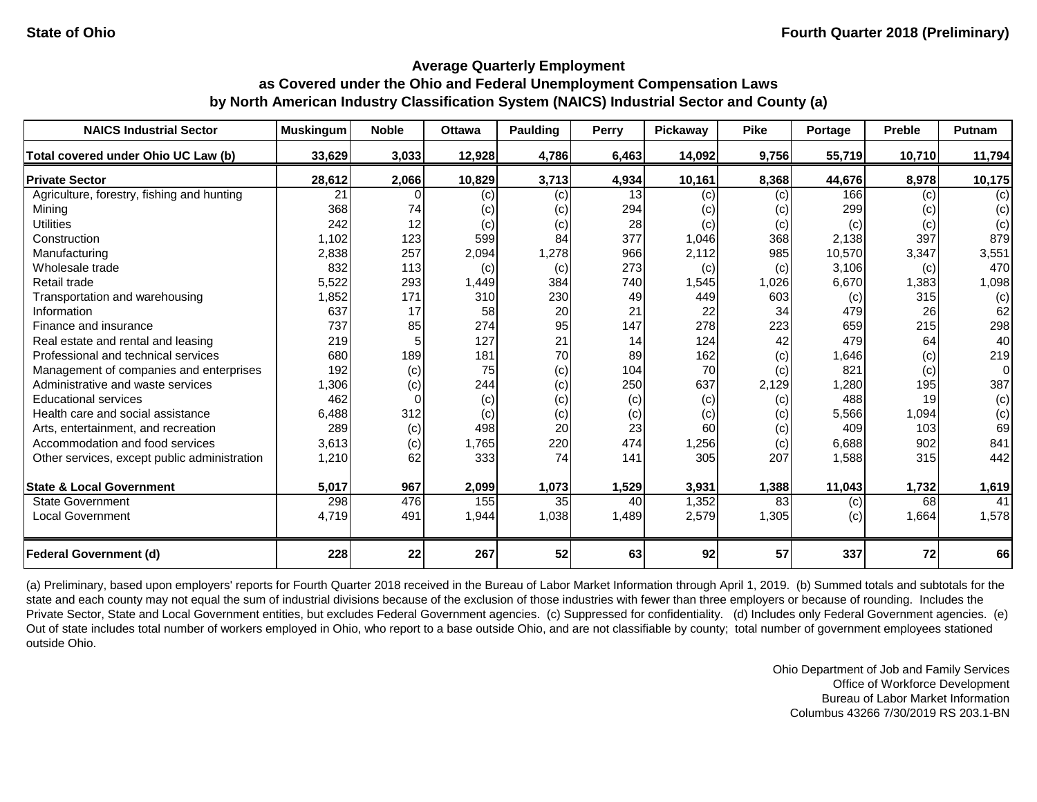| <b>NAICS Industrial Sector</b>               | <b>Muskingum</b> | <b>Noble</b> | <b>Ottawa</b> | <b>Paulding</b> | <b>Perry</b> | Pickaway | <b>Pike</b> | Portage | <b>Preble</b> | <b>Putnam</b> |
|----------------------------------------------|------------------|--------------|---------------|-----------------|--------------|----------|-------------|---------|---------------|---------------|
| Total covered under Ohio UC Law (b)          | 33,629           | 3,033        | 12,928        | 4,786           | 6,463        | 14,092   | 9,756       | 55,719  | 10,710        | 11,794        |
| <b>Private Sector</b>                        | 28,612           | 2,066        | 10,829        | 3,713           | 4,934        | 10,161   | 8,368       | 44,676  | 8,978         | 10,175        |
| Agriculture, forestry, fishing and hunting   | 21               |              | (c)           | (c)             | 13           | (c)      | (c)         | 166     | (c)           | (c)           |
| Mining                                       | 368              | 74           | (c)           | (c)             | 294          | (c)      | (c)         | 299     | (c)           | (c)           |
| <b>Utilities</b>                             | 242              | 12           | (c)           | (c)             | 28           | (c)      | (c)         | (c)     | (c)           | (c)           |
| Construction                                 | 1,102            | 123          | 599           | 84              | 377          | 1,046    | 368         | 2,138   | 397           | 879           |
| Manufacturing                                | 2,838            | 257          | 2,094         | 1,278           | 966          | 2,112    | 985         | 10,570  | 3,347         | 3,551         |
| Wholesale trade                              | 832              | 113          | (c)           | (c)             | 273          | (c)      | (c)         | 3,106   | (c)           | 470           |
| Retail trade                                 | 5,522            | 293          | 1,449         | 384             | 740          | 1,545    | 1,026       | 6,670   | 1,383         | 1,098         |
| Transportation and warehousing               | 1,852            | 171          | 310           | 230             | 49           | 449      | 603         | (c)     | 315           | (c)           |
| Information                                  | 637              | 17           | 58            | 20              | 21           | 22       | 34          | 479     | 26            | 62            |
| Finance and insurance                        | 737              | 85           | 274           | 95              | 147          | 278      | 223         | 659     | 215           | 298           |
| Real estate and rental and leasing           | 219              |              | 127           | 21              | 14           | 124      | 42          | 479     | 64            | 40            |
| Professional and technical services          | 680              | 189          | 181           | 70              | 89           | 162      | (c)         | 1,646   | (c)           | 219           |
| Management of companies and enterprises      | 192              | (c)          | 75            | (c)             | 104          | 70       | (c)         | 821     | (c)           | 0             |
| Administrative and waste services            | 1,306            | (c)          | 244           | (c)             | 250          | 637      | 2,129       | 1,280   | 195           | 387           |
| <b>Educational services</b>                  | 462              |              | (c)           | (c)             | (c)          | (c)      | (c)         | 488     | 19            | (c)           |
| Health care and social assistance            | 6,488            | 312          | (c)           | (c)             | (c)          | (c)      | (c)         | 5,566   | 1,094         | (c)           |
| Arts, entertainment, and recreation          | 289              | (c)          | 498           | 20              | 23           | 60       | (c)         | 409     | 103           | 69            |
| Accommodation and food services              | 3,613            | (c)          | 1,765         | 220             | 474          | 1,256    | (c)         | 6,688   | 902           | 841           |
| Other services, except public administration | 1,210            | 62           | 333           | 74              | 141          | 305      | 207         | 1,588   | 315           | 442           |
| <b>State &amp; Local Government</b>          | 5,017            | 967          | 2,099         | 1,073           | 1,529        | 3,931    | 1,388       | 11,043  | 1,732         | 1,619         |
| <b>State Government</b>                      | 298              | 476          | 155           | 35              | 40           | 1,352    | 83          | (c)     | 68            | 41            |
| <b>Local Government</b>                      | 4,719            | 491          | 1,944         | 1,038           | 1,489        | 2,579    | 1,305       | (c)     | 1,664         | 1,578         |
| <b>Federal Government (d)</b>                | 228              | 22           | 267           | 52              | 63           | 92       | 57          | 337     | 72            | 66            |

(a) Preliminary, based upon employers' reports for Fourth Quarter 2018 received in the Bureau of Labor Market Information through April 1, 2019. (b) Summed totals and subtotals for the state and each county may not equal the sum of industrial divisions because of the exclusion of those industries with fewer than three employers or because of rounding. Includes the Private Sector, State and Local Government entities, but excludes Federal Government agencies. (c) Suppressed for confidentiality. (d) Includes only Federal Government agencies. (e) Out of state includes total number of workers employed in Ohio, who report to a base outside Ohio, and are not classifiable by county; total number of government employees stationed outside Ohio.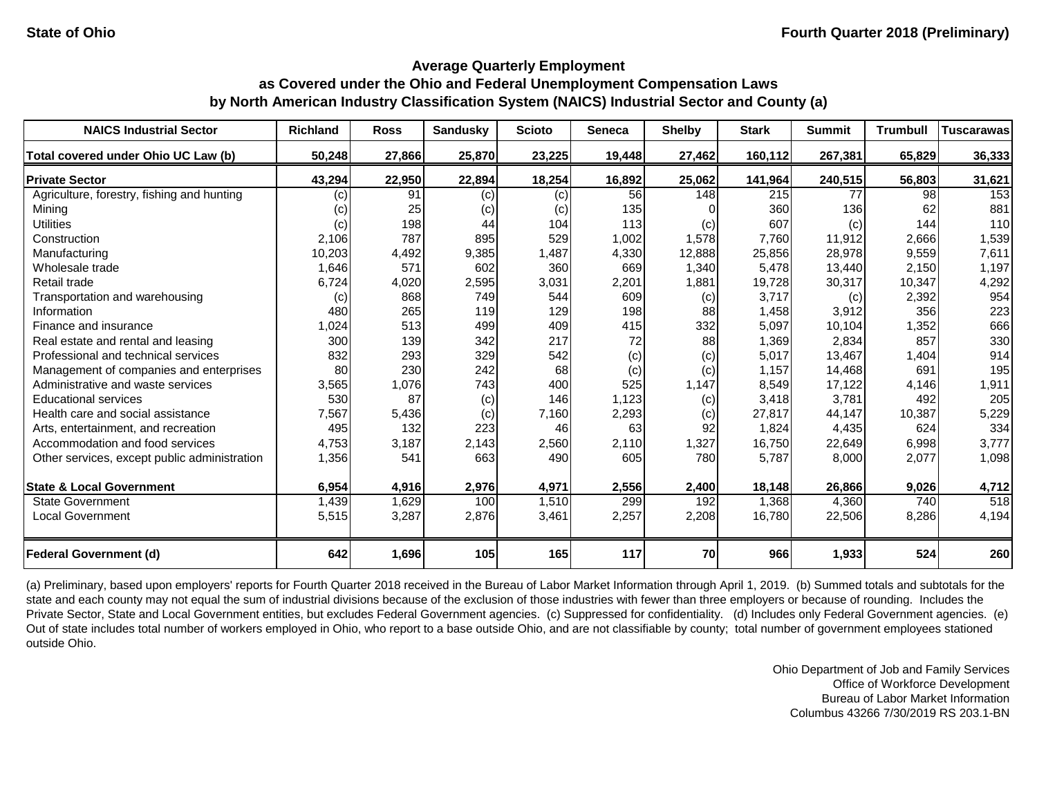| <b>NAICS Industrial Sector</b>               | <b>Richland</b> | <b>Ross</b> | <b>Sandusky</b> | <b>Scioto</b> | <b>Seneca</b> | <b>Shelby</b> | <b>Stark</b> | <b>Summit</b> | <b>Trumbull</b> | <b>Tuscarawas</b> |
|----------------------------------------------|-----------------|-------------|-----------------|---------------|---------------|---------------|--------------|---------------|-----------------|-------------------|
| Total covered under Ohio UC Law (b)          | 50,248          | 27,866      | 25,870          | 23,225        | 19,448        | 27,462        | 160,112      | 267,381       | 65,829          | 36,333            |
| <b>Private Sector</b>                        | 43,294          | 22,950      | 22,894          | 18,254        | 16,892        | 25,062        | 141,964      | 240,515       | 56,803          | 31,621            |
| Agriculture, forestry, fishing and hunting   | (c)             | 91          | (c)             | (c)           | 56            | 148           | 215          | 77            | 98              | 153               |
| Mining                                       | (c)             | 25          | (c)             | (c)           | 135           |               | 360          | 136           | 62              | 881               |
| <b>Utilities</b>                             | (c)             | 198         | 44              | 104           | 113           | (c)           | 607          | (c)           | 144             | 110               |
| Construction                                 | 2,106           | 787         | 895             | 529           | 1,002         | 1,578         | 7,760        | 11,912        | 2,666           | 1,539             |
| Manufacturing                                | 10,203          | 4,492       | 9,385           | 1,487         | 4,330         | 12,888        | 25,856       | 28,978        | 9,559           | 7,611             |
| Wholesale trade                              | 1,646           | 571         | 602             | 360           | 669           | 1,340         | 5,478        | 13,440        | 2,150           | 1,197             |
| Retail trade                                 | 6,724           | 4,020       | 2,595           | 3,031         | 2,201         | 1,881         | 19,728       | 30,317        | 10,347          | 4,292             |
| Transportation and warehousing               | (c)             | 868         | 749             | 544           | 609           | (c)           | 3,717        | (c)           | 2,392           | 954               |
| Information                                  | 480             | 265         | 119             | 129           | 198           | 88            | 1,458        | 3,912         | 356             | 223               |
| Finance and insurance                        | 1,024           | 513         | 499             | 409           | 415           | 332           | 5,097        | 10,104        | 1,352           | 666               |
| Real estate and rental and leasing           | 300             | 139         | 342             | 217           | 72            | 88            | 1,369        | 2,834         | 857             | 330               |
| Professional and technical services          | 832             | 293         | 329             | 542           | (c)           | (c)           | 5,017        | 13,467        | 1,404           | 914               |
| Management of companies and enterprises      | 80              | 230         | 242             | 68            | (c)           | (c)           | 1,157        | 14,468        | 691             | 195               |
| Administrative and waste services            | 3,565           | 1,076       | 743             | 400           | 525           | 1,147         | 8,549        | 17,122        | 4,146           | 1,911             |
| <b>Educational services</b>                  | 530             | 87          | (c)             | 146           | 1,123         | (c)           | 3,418        | 3,781         | 492             | 205               |
| Health care and social assistance            | 7,567           | 5,436       | (c)             | 7,160         | 2,293         | (c)           | 27,817       | 44,147        | 10,387          | 5,229             |
| Arts, entertainment, and recreation          | 495             | 132         | 223             | 46            | 63            | 92            | 1,824        | 4,435         | 624             | 334               |
| Accommodation and food services              | 4,753           | 3,187       | 2,143           | 2,560         | 2,110         | 1,327         | 16,750       | 22,649        | 6,998           | 3,777             |
| Other services, except public administration | 1,356           | 541         | 663             | 490           | 605           | 780           | 5,787        | 8,000         | 2,077           | 1,098             |
| <b>State &amp; Local Government</b>          | 6,954           | 4,916       | 2,976           | 4,971         | 2,556         | 2,400         | 18,148       | 26,866        | 9,026           | 4,712             |
| <b>State Government</b>                      | 1,439           | 1,629       | 100             | 1,510         | 299           | 192           | 1,368        | 4,360         | 740             | $\overline{518}$  |
| <b>Local Government</b>                      | 5,515           | 3,287       | 2,876           | 3,461         | 2,257         | 2,208         | 16,780       | 22,506        | 8,286           | 4,194             |
| <b>Federal Government (d)</b>                | 642             | 1,696       | 105             | 165           | 117           | 70            | 966          | 1,933         | 524             | 260               |

(a) Preliminary, based upon employers' reports for Fourth Quarter 2018 received in the Bureau of Labor Market Information through April 1, 2019. (b) Summed totals and subtotals for the state and each county may not equal the sum of industrial divisions because of the exclusion of those industries with fewer than three employers or because of rounding. Includes the Private Sector, State and Local Government entities, but excludes Federal Government agencies. (c) Suppressed for confidentiality. (d) Includes only Federal Government agencies. (e) Out of state includes total number of workers employed in Ohio, who report to a base outside Ohio, and are not classifiable by county; total number of government employees stationed outside Ohio.